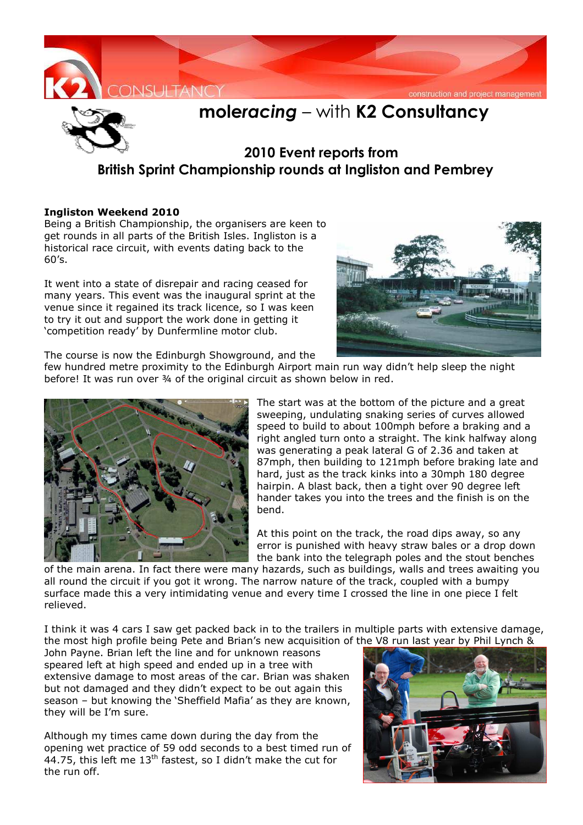



## **mole***racing* – with **K2 Consultancy**

## **2010 Event reports from British Sprint Championship rounds at Ingliston and Pembrey**

## **Ingliston Weekend 2010**

Being a British Championship, the organisers are keen to get rounds in all parts of the British Isles. Ingliston is a historical race circuit, with events dating back to the 60's.

It went into a state of disrepair and racing ceased for many years. This event was the inaugural sprint at the venue since it regained its track licence, so I was keen to try it out and support the work done in getting it 'competition ready' by Dunfermline motor club.



The course is now the Edinburgh Showground, and the

few hundred metre proximity to the Edinburgh Airport main run way didn't help sleep the night before! It was run over 34 of the original circuit as shown below in red.



The start was at the bottom of the picture and a great sweeping, undulating snaking series of curves allowed speed to build to about 100mph before a braking and a right angled turn onto a straight. The kink halfway along was generating a peak lateral G of 2.36 and taken at 87mph, then building to 121mph before braking late and hard, just as the track kinks into a 30mph 180 degree hairpin. A blast back, then a tight over 90 degree left hander takes you into the trees and the finish is on the bend.

At this point on the track, the road dips away, so any error is punished with heavy straw bales or a drop down the bank into the telegraph poles and the stout benches

of the main arena. In fact there were many hazards, such as buildings, walls and trees awaiting you all round the circuit if you got it wrong. The narrow nature of the track, coupled with a bumpy surface made this a very intimidating venue and every time I crossed the line in one piece I felt relieved.

I think it was 4 cars I saw get packed back in to the trailers in multiple parts with extensive damage, the most high profile being Pete and Brian's new acquisition of the V8 run last year by Phil Lynch &

John Payne. Brian left the line and for unknown reasons speared left at high speed and ended up in a tree with extensive damage to most areas of the car. Brian was shaken but not damaged and they didn't expect to be out again this season – but knowing the 'Sheffield Mafia' as they are known, they will be I'm sure.

Although my times came down during the day from the opening wet practice of 59 odd seconds to a best timed run of 44.75, this left me  $13<sup>th</sup>$  fastest, so I didn't make the cut for the run off.

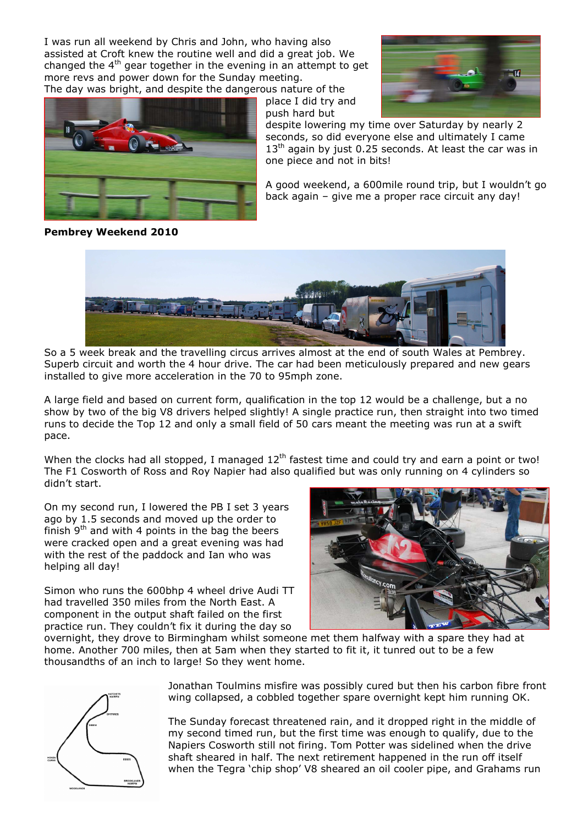I was run all weekend by Chris and John, who having also assisted at Croft knew the routine well and did a great job. We changed the  $4<sup>th</sup>$  gear together in the evening in an attempt to get more revs and power down for the Sunday meeting.

The day was bright, and despite the dangerous nature of the



place I did try and push hard but



despite lowering my time over Saturday by nearly 2 seconds, so did everyone else and ultimately I came  $13<sup>th</sup>$  again by just 0.25 seconds. At least the car was in one piece and not in bits!

A good weekend, a 600mile round trip, but I wouldn't go back again – give me a proper race circuit any day!

**Pembrey Weekend 2010** 



So a 5 week break and the travelling circus arrives almost at the end of south Wales at Pembrey. Superb circuit and worth the 4 hour drive. The car had been meticulously prepared and new gears installed to give more acceleration in the 70 to 95mph zone.

A large field and based on current form, qualification in the top 12 would be a challenge, but a no show by two of the big V8 drivers helped slightly! A single practice run, then straight into two timed runs to decide the Top 12 and only a small field of 50 cars meant the meeting was run at a swift pace.

When the clocks had all stopped, I managed  $12<sup>th</sup>$  fastest time and could try and earn a point or two! The F1 Cosworth of Ross and Roy Napier had also qualified but was only running on 4 cylinders so didn't start.

On my second run, I lowered the PB I set 3 years ago by 1.5 seconds and moved up the order to finish  $9<sup>th</sup>$  and with 4 points in the bag the beers were cracked open and a great evening was had with the rest of the paddock and Ian who was helping all day!

Simon who runs the 600bhp 4 wheel drive Audi TT had travelled 350 miles from the North East. A component in the output shaft failed on the first practice run. They couldn't fix it during the day so



overnight, they drove to Birmingham whilst someone met them halfway with a spare they had at home. Another 700 miles, then at 5am when they started to fit it, it tunred out to be a few thousandths of an inch to large! So they went home.



Jonathan Toulmins misfire was possibly cured but then his carbon fibre front wing collapsed, a cobbled together spare overnight kept him running OK.

The Sunday forecast threatened rain, and it dropped right in the middle of my second timed run, but the first time was enough to qualify, due to the Napiers Cosworth still not firing. Tom Potter was sidelined when the drive shaft sheared in half. The next retirement happened in the run off itself when the Tegra 'chip shop' V8 sheared an oil cooler pipe, and Grahams run